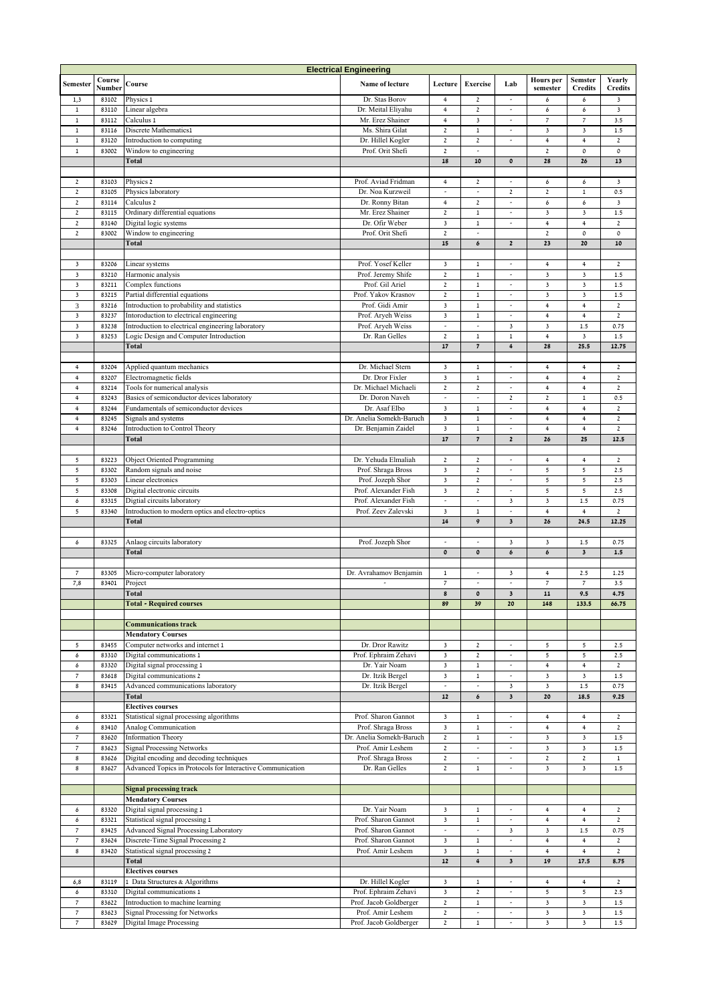| <b>Electrical Engineering</b>              |                |                                                                          |                                             |                                |                                         |                                            |                                             |                           |                     |  |
|--------------------------------------------|----------------|--------------------------------------------------------------------------|---------------------------------------------|--------------------------------|-----------------------------------------|--------------------------------------------|---------------------------------------------|---------------------------|---------------------|--|
| Semester                                   | Course         | Course                                                                   | Name of lecture                             | Lecture                        | <b>Exercise</b>                         | Lab                                        | <b>Hours</b> per                            | <b>Semster</b>            | Yearly              |  |
|                                            | Number         |                                                                          |                                             |                                |                                         |                                            | semester                                    | <b>Credits</b>            | <b>Credits</b>      |  |
| 1,3                                        | 83102          | Physics 1                                                                | Dr. Stas Borov                              | 4                              | $\mathbf 2$                             | $\overline{a}$                             | 6                                           | 6                         | 3                   |  |
| $\,$ 1                                     | 83110          | Linear algebra                                                           | Dr. Meital Eliyahu                          | $\,4\,$                        | $\mathbf 2$                             | $\overline{\phantom{a}}$                   | 6                                           | 6                         | 3                   |  |
| $\,$ 1                                     | 83112          | Calculus 1                                                               | Mr. Erez Shainer                            | $\overline{4}$                 | $\overline{\mathbf{3}}$                 |                                            | $\overline{\phantom{a}}$                    | $\overline{\phantom{a}}$  | 3.5                 |  |
| $\,1$                                      | 83116          | Discrete Mathematics1                                                    | Ms. Shira Gilat                             | $\mathbf 2$                    | $\mathbf 1$                             | $\frac{1}{2}$                              | $\mathsf 3$                                 | $\mathsf 3$               | 1.5                 |  |
| $\,1$                                      | 83120          | Introduction to computing                                                | Dr. Hillel Kogler                           | $\mathbf 2$                    | $\boldsymbol{2}$                        | $\overline{\phantom{a}}$                   | $\,$ 4 $\,$                                 | $\overline{4}$            | $\mathbf 2$         |  |
| $\,$ 1                                     | 83002          | Window to engineering                                                    | Prof. Orit Shefi                            | $\mathbf 2$                    | $\overline{\phantom{a}}$                |                                            | $\mathbf 2$                                 | $\mathfrak o$             | $\mathfrak o$       |  |
|                                            |                | Total                                                                    |                                             | 18                             | 10                                      | $\pmb{\mathfrak{0}}$                       | 28                                          | 26                        | 13                  |  |
|                                            |                |                                                                          |                                             |                                |                                         |                                            |                                             |                           |                     |  |
| $\mathbf{2}$                               | 83103          | Physics 2                                                                | Prof. Aviad Fridman                         | $\ensuremath{\mathsf{4}}$      | $\mathbf 2$                             | $\overline{\phantom{a}}$                   | 6                                           | 6                         | 3                   |  |
| $\mathbf 2$                                | 83105          | Physics laboratory                                                       | Dr. Noa Kurzweil                            | $\overline{\phantom{a}}$       | $\overline{\phantom{a}}$                | $\mathbf 2$                                | $\mathbf 2$                                 | $\,1$                     | 0.5                 |  |
| $\mathbf 2$                                | 83114          | Calculus 2                                                               | Dr. Ronny Bitan                             | 4                              | $\mathbf{2}$                            | $\overline{\phantom{a}}$<br>$\overline{a}$ | 6                                           | 6                         | 3                   |  |
| $\mathbf 2$                                | 83115          | Ordinary differential equations                                          | Mr. Erez Shainer                            | $\mathbf 2$                    | $\mathbf 1$                             |                                            | $\overline{\mathbf{3}}$                     | $\mathsf 3$               | 1.5                 |  |
| $\mathbf 2$                                | 83140          | Digital logic systems                                                    | Dr. Ofir Weber                              | 3                              | $\,1\,$<br>$\overline{\phantom{a}}$     |                                            | $\,$ 4 $\,$                                 | $\overline{4}$            | $\mathbf 2$         |  |
| $\mathbf 2$                                | 83002          | Window to engineering                                                    | Prof. Orit Shefi                            | $\mathbf 2$<br>15              |                                         |                                            | $\mathbf 2$<br>23                           | $\mathfrak o$<br>20       | $\mathfrak o$<br>10 |  |
|                                            |                | Total                                                                    |                                             |                                | 6                                       | $\mathbf{2}$                               |                                             |                           |                     |  |
| $\overline{\mathbf{3}}$                    | 83206          |                                                                          | Prof. Yosef Keller                          | $\mathsf 3$                    | $\mathbf 1$                             | $\frac{1}{2}$                              | $\ensuremath{\mathsf{4}}$                   | $\overline{4}$            | $\mathbf 2$         |  |
| $\mathsf 3$                                | 83210          | Linear systems<br>Harmonic analysis                                      | Prof. Jeremy Shife                          | $\mathbf 2$                    | $\mathbf 1$                             | $\overline{\phantom{a}}$                   | $\mathsf 3$                                 | $\mathsf 3$               | $1.5\,$             |  |
| $\overline{\mathbf{3}}$                    | 83211          |                                                                          | Prof. Gil Ariel                             | $\mathbf 2$                    | $\mathbf 1$                             | $\overline{\phantom{a}}$                   | $\mathsf 3$                                 | $\mathsf 3$               | 1.5                 |  |
| $\overline{\mathbf{3}}$                    | 83215          | Complex functions<br>Partial differential equations                      | Prof. Yakov Krasnov                         | $\mathbf 2$                    | $\mathbf 1$                             | $\overline{a}$                             | $\overline{\mathbf{3}}$                     | $\mathsf 3$               | 1.5                 |  |
| 3                                          | 83216          |                                                                          | Prof. Gidi Amir                             | $\mathsf 3$                    | $\,1\,$                                 | $\overline{a}$                             | $\,$ 4 $\,$                                 | $\ensuremath{\mathsf{4}}$ | $\mathbf 2$         |  |
| $\mathsf 3$                                |                | Introduction to probability and statistics                               | Prof. Aryeh Weiss                           | $\mathbf 3$                    |                                         | $\tilde{\phantom{a}}$                      | $\ensuremath{\mathsf{4}}$                   | 4                         |                     |  |
| $\overline{\mathbf{3}}$                    | 83237          | Intoroduction to electrical engineering                                  |                                             | $\overline{\phantom{a}}$       | $\mathbf 1$<br>$\overline{\phantom{a}}$ | $\overline{\mathbf{3}}$                    | 3                                           | 1.5                       | $\mathbf 2$<br>0.75 |  |
| $\overline{\mathbf{3}}$                    | 83238          | Introduction to electrical engineering laboratory                        | Prof. Aryeh Weiss<br>Dr. Ran Gelles         | $\mathbf{2}$                   | $\,1$                                   | $\,1\,$                                    | $\overline{4}$                              | $\mathsf 3$               | 1.5                 |  |
|                                            | 83253          | Logic Design and Computer Introduction                                   |                                             |                                |                                         |                                            |                                             |                           |                     |  |
|                                            |                | Total                                                                    |                                             | 17                             | $\pmb{7}$                               | $\boldsymbol{4}$                           | 28                                          | 25.5                      | 12.75               |  |
|                                            |                |                                                                          |                                             |                                |                                         |                                            |                                             |                           |                     |  |
| $\ensuremath{\mathsf{4}}$                  | 83204          | Applied quantum mechanics                                                | Dr. Michael Stern                           | $\mathsf 3$                    | $\mathbf 1$                             | $\overline{\phantom{a}}$                   | $\overline{4}$                              | $\overline{4}$            | $\mathbf{2}$        |  |
| $\overline{4}$                             | 83207          | Electromagnetic fields                                                   | Dr. Dror Fixler                             | $\overline{\mathbf{3}}$        | $\,1$                                   | $\overline{\phantom{a}}$                   | $\overline{4}$                              | $\overline{4}$            | $\mathbf 2$         |  |
| 4                                          | 83214          | Tools for numerical analysis                                             | Dr. Michael Michaeli                        | $\mathbf 2$                    | $\mathbf 2$                             | $\overline{\phantom{a}}$                   | $\ensuremath{\mathsf{4}}$                   | 4                         | $\mathbf 2$         |  |
| 4                                          | 83243          | Basics of semiconductor devices laboratory                               | Dr. Doron Naveh                             | $\overline{a}$                 | ÷,                                      | $\mathbf 2$                                | $\mathbf 2$                                 | $\mathbf{1}$              | 0.5                 |  |
| $\ensuremath{\mathsf{4}}$                  | 83244          | Fundamentals of semiconductor devices                                    | Dr. Asaf Elbo                               | 3                              | $\mathbf 1$                             | $\overline{a}$                             | $\ensuremath{\mathsf{4}}$                   | 4                         | $\mathbf 2$         |  |
| $\overline{4}$                             | 83245          | Signals and systems                                                      | Dr. Anelia Somekh-Baruch                    | $\mathsf 3$                    | $\mathbf 1$                             | $\overline{\phantom{a}}$                   | $\overline{4}$                              | $\overline{\mathbf{4}}$   | $\mathbf 2$         |  |
| $\overline{\mathbf{4}}$                    | 83246          | Introduction to Control Theory                                           | Dr. Benjamin Zaidel                         | $\overline{\mathbf{3}}$        | $\,$ 1                                  | $\overline{\phantom{a}}$                   | $\,$ 4 $\,$                                 | $\overline{4}$            | $\mathbf 2$         |  |
|                                            |                | Total                                                                    |                                             | 17                             | $\pmb{7}$                               | $\mathbf{2}$                               | 26                                          | 25                        | 12.5                |  |
|                                            |                |                                                                          |                                             |                                |                                         |                                            |                                             |                           |                     |  |
| 5                                          | 83223          | <b>Object Oriented Programming</b>                                       | Dr. Yehuda Elmaliah                         | $\mathbf 2$                    | $\mathbf 2$                             | $\overline{\phantom{a}}$                   | $\overline{4}$                              | 4                         | $\mathbf{2}$        |  |
| 5                                          | 83302          | Random signals and noise                                                 | Prof. Shraga Bross                          | $\overline{\mathbf{3}}$        | $\mathbf 2$                             | $\overline{a}$                             | 5                                           | 5                         | 2.5                 |  |
| 5                                          | 83303          | Linear electronics                                                       | Prof. Jozeph Shor                           | 3                              | $\mathbf 2$                             | $\overline{a}$                             | 5                                           | 5                         | 2.5                 |  |
| 5                                          | 83308          | Digital electronic circuits                                              | Prof. Alexander Fish                        | $\mathsf 3$                    | $\mathbf 2$                             | $\overline{\phantom{a}}$                   | 5                                           | 5                         | 2.5                 |  |
| 6                                          | 83315          | Digtial circuits laboratory                                              | Prof. Alexander Fish                        | $\overline{\phantom{a}}$       | $\overline{\phantom{a}}$                | $\mathsf 3$                                | $\mathsf 3$                                 | 1.5                       | 0.75                |  |
| 5                                          | 83340          | Introduction to modern optics and electro-optics                         | Prof. Zeev Zalevski                         | $\overline{\mathbf{3}}$        | $\,1$                                   | $\overline{\phantom{a}}$                   | $\overline{4}$                              | $\overline{4}$            | $\mathbf 2$         |  |
|                                            |                | Total                                                                    |                                             | 14                             | 9                                       | $\overline{\mathbf{3}}$                    | 26                                          | 24.5                      | 12.25               |  |
|                                            |                |                                                                          |                                             |                                |                                         |                                            |                                             |                           |                     |  |
| 6                                          | 83325          | Anlaog circuits laboratory                                               | Prof. Jozeph Shor                           | $\overline{a}$                 | $\overline{a}$                          | $\mathsf 3$                                | 3                                           | $1.5$                     | 0.75                |  |
|                                            |                | <b>Total</b>                                                             |                                             | $\pmb{\mathfrak{0}}$           | $\pmb{\mathfrak{0}}$                    | 6                                          | 6                                           | $\overline{\mathbf{3}}$   | 1.5                 |  |
|                                            |                |                                                                          |                                             |                                |                                         |                                            |                                             |                           |                     |  |
| $\overline{\phantom{a}}$                   | 83305          | Micro-computer laboratory                                                | Dr. Avrahamov Benjamin                      | $\mathbf 1$                    | $\overline{a}$                          | 3                                          | $\ensuremath{\mathsf{4}}$<br>$\overline{7}$ | 2.5<br>$\overline{7}$     | 1.25                |  |
| 7,8                                        | 83401          | Project                                                                  | $\overline{\phantom{a}}$                    | $\overline{7}$                 | $\overline{\phantom{a}}$                | $\overline{\phantom{a}}$                   |                                             |                           | 3.5                 |  |
|                                            |                | Total                                                                    |                                             | $\bf 8$                        | $\pmb{\mathfrak{0}}$                    | $\overline{\mathbf{3}}$                    | 11                                          | 9.5                       | 4.75                |  |
|                                            |                | <b>Total - Required courses</b>                                          |                                             | 89                             | 39                                      | 20                                         | 148                                         | 133.5                     | 66.75               |  |
|                                            |                |                                                                          |                                             |                                |                                         |                                            |                                             |                           |                     |  |
|                                            |                | <b>Communications track</b>                                              |                                             |                                |                                         |                                            |                                             |                           |                     |  |
|                                            |                | <b>Mendatory Courses</b>                                                 |                                             |                                |                                         |                                            |                                             |                           |                     |  |
| 5                                          | 83455          | Computer networks and internet 1                                         | Dr. Dror Rawitz                             | $\mathsf 3$                    | $\overline{2}$                          | $\frac{1}{2}$                              | 5                                           | 5                         | 2.5                 |  |
| 6                                          | 83310          | Digital communications 1                                                 | Prof. Ephraim Zehavi                        | 3                              | $\mathbf 2$                             |                                            | 5                                           | 5                         | 2.5                 |  |
| 6                                          | 83320          | Digital signal processing 1                                              | Dr. Yair Noam                               | $\mathsf 3$                    | $\,1$                                   | $\overline{\phantom{a}}$                   | $\overline{4}$                              | $\overline{4}$            | $\mathbf{2}$        |  |
| $\overline{7}$                             | 83618          | Digital communications 2                                                 | Dr. Itzik Bergel                            | $\mathsf 3$                    | $\mathbf 1$                             | $\overline{\phantom{a}}$                   | $\overline{\mathbf{3}}$                     | $\overline{\mathbf{3}}$   | 1.5                 |  |
| $\bf 8$                                    | 83415          | Advanced communications laboratory                                       | Dr. Itzik Bergel                            | $\overline{\phantom{a}}$<br>12 | $\overline{\phantom{a}}$                | $\overline{\mathbf{3}}$                    | $\overline{\mathbf{3}}$                     | $1.5\,$<br>18.5           | 0.75                |  |
|                                            |                | Total                                                                    |                                             |                                | 6                                       | $\mathbf 3$                                | 20                                          |                           | 9.25                |  |
|                                            |                |                                                                          |                                             |                                |                                         |                                            |                                             |                           |                     |  |
|                                            |                | <b>Electives courses</b>                                                 |                                             |                                |                                         |                                            |                                             |                           |                     |  |
| 6                                          | 83321          | Statistical signal processing algorithms                                 | Prof. Sharon Gannot                         | 3                              | $\mathbf 1$                             | $\frac{1}{2}$                              | $\overline{4}$                              | $\overline{4}$            | $\mathbf{2}$        |  |
| 6                                          | 83410          | <b>Analog Communication</b>                                              | Prof. Shraga Bross                          | $\mathbf 3$                    | $\,1$                                   |                                            | $\overline{4}$                              | $\overline{4}$            | $\mathbf{2}$        |  |
| 7                                          | 83620          | <b>Information Theory</b>                                                | Dr. Anelia Somekh-Baruch                    | $\mathbf{2}% ^{2}/\mathbf{2}$  | $\,1$                                   | $\frac{1}{2}$                              | $\mathbf{3}$                                | 3                         | 1.5                 |  |
| $\overline{\phantom{a}}$                   | 83623          | <b>Signal Processing Networks</b>                                        | Prof. Amir Leshem                           | $\mathbf{2}$                   | $\overline{\phantom{a}}$                | $\overline{\phantom{a}}$                   | $\overline{\mathbf{3}}$                     | $\overline{\mathbf{3}}$   | 1.5                 |  |
| $\bf{8}$                                   | 83626          | Digital encoding and decoding techniques                                 | Prof. Shraga Bross                          | $\mathbf 2$                    | $\overline{\phantom{a}}$                | $\overline{\phantom{a}}$                   | $\mathbf{2}$                                | $\mathbf 2$               | $\mathbf 1$         |  |
| $\bf{8}$                                   | 83627          | Advanced Topics in Protocols for Interactive Communication               | Dr. Ran Gelles                              | $\mathbf{2}$                   | $\mathbf 1$                             | $\overline{\phantom{a}}$                   | $\overline{\mathbf{3}}$                     | $\overline{\mathbf{3}}$   | $1.5\,$             |  |
|                                            |                |                                                                          |                                             |                                |                                         |                                            |                                             |                           |                     |  |
|                                            |                | <b>Signal processing track</b>                                           |                                             |                                |                                         |                                            |                                             |                           |                     |  |
|                                            |                | <b>Mendatory Courses</b>                                                 |                                             |                                |                                         |                                            |                                             |                           |                     |  |
| 6                                          | 83320          | Digital signal processing 1                                              | Dr. Yair Noam                               | 3                              | $\mathbf{1}$                            | $\overline{\phantom{a}}$                   | $\overline{4}$                              | $\overline{4}$            | $\mathbf{2}$        |  |
| 6                                          | 83321          | Statistical signal processing 1                                          | Prof. Sharon Gannot                         | $\overline{\mathbf{3}}$        | $\,1$                                   |                                            | $\overline{4}$                              | $\overline{4}$            | $\mathbf{2}$        |  |
| $\overline{\phantom{a}}$                   | 83425          | <b>Advanced Signal Processing Laboratory</b>                             | Prof. Sharon Gannot                         | $\overline{\phantom{a}}$       | $\overline{a}$                          | 3                                          | 3                                           | $1.5\,$                   | 0.75                |  |
| $\overline{\phantom{a}}$                   | 83624          | Discrete-Time Signal Processing 2                                        | Prof. Sharon Gannot                         | $\mathsf 3$                    | $\mathbf 1$                             | $\overline{\phantom{a}}$                   | $\ensuremath{\mathsf{4}}$                   | $\overline{4}$            | $\mathbf{2}$        |  |
| $\bf{8}$                                   | 83420          | Statistical signal processing 2                                          | Prof. Amir Leshem                           | $\mathsf 3$                    | $\,1$                                   | $\overline{\phantom{a}}$                   | $\overline{4}$                              | $\overline{4}$            | $\mathbf{2}$        |  |
|                                            |                | Total                                                                    |                                             | $12\,$                         | $\ddot{\mathbf{4}}$                     | $\overline{\mathbf{3}}$                    | 19                                          | 17.5                      | 8.75                |  |
|                                            |                | <b>Electives courses</b>                                                 |                                             |                                |                                         |                                            |                                             |                           |                     |  |
| 6,8                                        | 83119          | 1 Data Structures & Algorithms                                           | Dr. Hillel Kogler                           | $\overline{\mathbf{3}}$        | $\mathbf 1$                             | $\overline{\phantom{a}}$                   | $\overline{4}$                              | $\overline{4}$            | $\mathbf{2}$        |  |
| 6                                          | 83310          | Digital communications 1                                                 | Prof. Ephraim Zehavi                        | $\mathsf 3$                    | $\overline{2}$                          | $\overline{\phantom{a}}$                   | 5                                           | 5                         | 2.5                 |  |
| $\overline{7}$                             | 83622          | Introduction to machine learning                                         | Prof. Jacob Goldberger                      | $\mathbf 2$                    | $\mathbf 1$                             | $\overline{\phantom{a}}$                   | $\mathsf 3$                                 | 3                         | 1.5                 |  |
| $\overline{\phantom{a}}$<br>$\overline{7}$ | 83623<br>83629 | <b>Signal Processing for Networks</b><br><b>Digital Image Processing</b> | Prof. Amir Leshem<br>Prof. Jacob Goldberger | $\mathbf 2$<br>$\mathbf{2}$    | $\overline{a}$<br>$\,1$                 | $\frac{1}{2}$<br>$\sim$                    | 3<br>$\overline{\mathbf{3}}$                | 3<br>$\mathbf{3}$         | 1.5<br>$1.5\,$      |  |